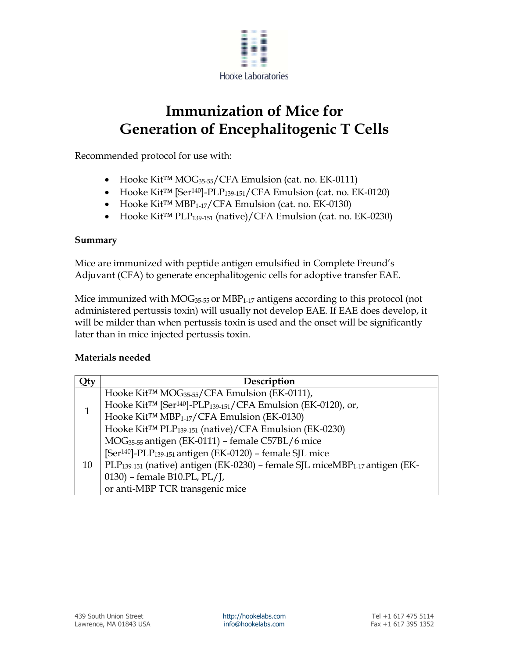

## **Immunization of Mice for Generation of Encephalitogenic T Cells**

Recommended protocol for use with:

- Hooke Kit™ MOG35-55/CFA Emulsion (cat. no. EK-0111)
- Hooke Kit™ [Ser140]-PLP139-151/CFA Emulsion (cat. no. EK-0120)
- Hooke Kit™ MBP1-17/CFA Emulsion (cat. no. EK-0130)
- Hooke Kit™ PLP139-151 (native)/CFA Emulsion (cat. no. EK-0230)

## **Summary**

Mice are immunized with peptide antigen emulsified in Complete Freund's Adjuvant (CFA) to generate encephalitogenic cells for adoptive transfer EAE.

Mice immunized with  $MOG_{35-55}$  or  $MBP_{1-17}$  antigens according to this protocol (not administered pertussis toxin) will usually not develop EAE. If EAE does develop, it will be milder than when pertussis toxin is used and the onset will be significantly later than in mice injected pertussis toxin.

## **Materials needed**

| Qty | Description                                                                                         |
|-----|-----------------------------------------------------------------------------------------------------|
| 1   | Hooke Kit <sup>™</sup> MOG <sub>35-55</sub> /CFA Emulsion (EK-0111),                                |
|     | Hooke Kit <sup>TM</sup> [Ser <sup>140</sup> ]-PLP <sub>139-151</sub> /CFA Emulsion (EK-0120), or,   |
|     | Hooke Kit <sup>™</sup> MBP <sub>1-17</sub> /CFA Emulsion (EK-0130)                                  |
|     | Hooke Kit <sup>™</sup> PLP <sub>139-151</sub> (native)/CFA Emulsion (EK-0230)                       |
| 10  | MOG <sub>35-55</sub> antigen (EK-0111) – female C57BL/6 mice                                        |
|     | [Ser <sup>140</sup> ]-PLP <sub>139-151</sub> antigen (EK-0120) - female SJL mice                    |
|     | PLP <sub>139-151</sub> (native) antigen (EK-0230) – female SJL miceMBP <sub>1-17</sub> antigen (EK- |
|     | 0130) - female B10.PL, PL/J,                                                                        |
|     | or anti-MBP TCR transgenic mice                                                                     |